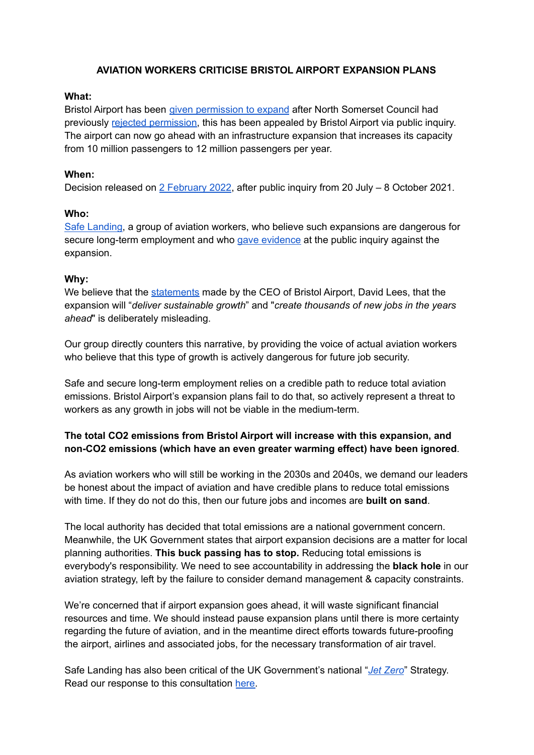## **AVIATION WORKERS CRITICISE BRISTOL AIRPORT EXPANSION PLANS**

## **What:**

Bristol Airport has been given [permission](https://www.bbc.co.uk/news/uk-england-bristol-60234355) to expand after North Somerset Council had previously rejected [permission,](https://www.bbc.co.uk/news/uk-england-bristol-51447705) this has been appealed by Bristol Airport via public inquiry. The airport can now go ahead with an infrastructure expansion that increases its capacity from 10 million passengers to 12 million passengers per year.

### **When:**

Decision released on 2 [February](https://acp.planninginspectorate.gov.uk/ViewDocument.aspx?fileid=46076498) 2022, after public inquiry from 20 July - 8 October 2021.

### **Who:**

Safe [Landing,](https://safe-landing.org/) a group of aviation workers, who believe such expansions are dangerous for secure long-term employment and who gave [evidence](https://www.youtube.com/watch?v=LuF_tI9ZUVs&t=1950s) at the public inquiry against the expansion.

#### **Why:**

We believe that the [statements](https://twitter.com/BristolAirport/status/1488940219143438338?s=20&t=8U9K_Ntb2Gelz4MmoiF60g) made by the CEO of Bristol Airport, David Lees, that the expansion will "*deliver sustainable growth*" and "*create thousands of new jobs in the years ahead*" is deliberately misleading.

Our group directly counters this narrative, by providing the voice of actual aviation workers who believe that this type of growth is actively dangerous for future job security.

Safe and secure long-term employment relies on a credible path to reduce total aviation emissions. Bristol Airport's expansion plans fail to do that, so actively represent a threat to workers as any growth in jobs will not be viable in the medium-term.

# **The total CO2 emissions from Bristol Airport will increase with this expansion, and non-CO2 emissions (which have an even greater warming effect) have been ignored**.

As aviation workers who will still be working in the 2030s and 2040s, we demand our leaders be honest about the impact of aviation and have credible plans to reduce total emissions with time. If they do not do this, then our future jobs and incomes are **built on sand**.

The local authority has decided that total emissions are a national government concern. Meanwhile, the UK Government states that airport expansion decisions are a matter for local planning authorities. **This buck passing has to stop.** Reducing total emissions is everybody's responsibility. We need to see accountability in addressing the **black hole** in our aviation strategy, left by the failure to consider demand management & capacity constraints.

We're concerned that if airport expansion goes ahead, it will waste significant financial resources and time. We should instead pause expansion plans until there is more certainty regarding the future of aviation, and in the meantime direct efforts towards future-proofing the airport, airlines and associated jobs, for the necessary transformation of air travel.

Safe Landing has also been critical of the UK Government's national "*Jet [Zero](https://www.gov.uk/government/consultations/achieving-net-zero-aviation-by-2050)*" Strategy. Read our response to this consultation [here.](https://drive.google.com/file/d/10W5NI-BRzCtu8fI3Ut_87Un1jslf_wxT/view?usp=sharing)